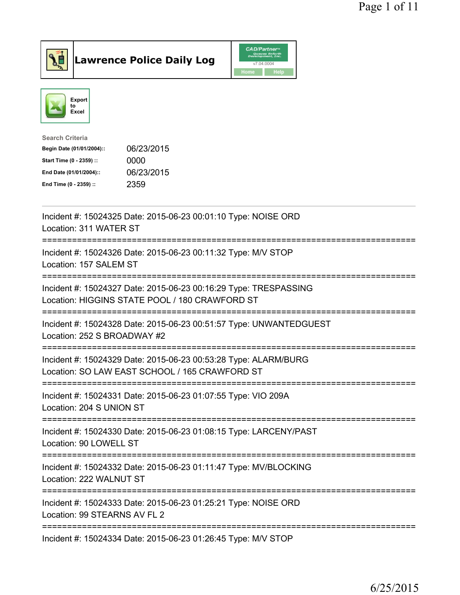

**Lawrence Police Daily Log** 



| <b>Search Criteria</b>    |            |
|---------------------------|------------|
| Begin Date (01/01/2004):: | 06/23/2015 |
| Start Time (0 - 2359) ::  | 0000       |
| End Date (01/01/2004)::   | 06/23/2015 |
| End Time (0 - 2359) ::    | 2359       |
|                           |            |

| Incident #: 15024325 Date: 2015-06-23 00:01:10 Type: NOISE ORD<br>Location: 311 WATER ST                              |
|-----------------------------------------------------------------------------------------------------------------------|
| Incident #: 15024326 Date: 2015-06-23 00:11:32 Type: M/V STOP<br>Location: 157 SALEM ST                               |
| Incident #: 15024327 Date: 2015-06-23 00:16:29 Type: TRESPASSING<br>Location: HIGGINS STATE POOL / 180 CRAWFORD ST    |
| Incident #: 15024328 Date: 2015-06-23 00:51:57 Type: UNWANTEDGUEST<br>Location: 252 S BROADWAY #2                     |
| Incident #: 15024329 Date: 2015-06-23 00:53:28 Type: ALARM/BURG<br>Location: SO LAW EAST SCHOOL / 165 CRAWFORD ST     |
| Incident #: 15024331 Date: 2015-06-23 01:07:55 Type: VIO 209A<br>Location: 204 S UNION ST                             |
| Incident #: 15024330 Date: 2015-06-23 01:08:15 Type: LARCENY/PAST<br>Location: 90 LOWELL ST                           |
| Incident #: 15024332 Date: 2015-06-23 01:11:47 Type: MV/BLOCKING<br>Location: 222 WALNUT ST                           |
| ===================<br>Incident #: 15024333 Date: 2015-06-23 01:25:21 Type: NOISE ORD<br>Location: 99 STEARNS AV FL 2 |
| Incident #: 15024334 Date: 2015-06-23 01:26:45 Type: M/V STOP                                                         |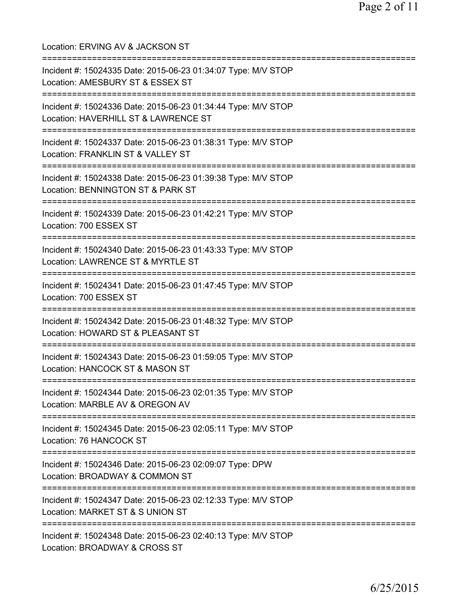| Location: ERVING AV & JACKSON ST                                                                                                            |
|---------------------------------------------------------------------------------------------------------------------------------------------|
| Incident #: 15024335 Date: 2015-06-23 01:34:07 Type: M/V STOP<br>Location: AMESBURY ST & ESSEX ST                                           |
| Incident #: 15024336 Date: 2015-06-23 01:34:44 Type: M/V STOP<br>Location: HAVERHILL ST & LAWRENCE ST                                       |
| Incident #: 15024337 Date: 2015-06-23 01:38:31 Type: M/V STOP<br>Location: FRANKLIN ST & VALLEY ST<br>===================================   |
| Incident #: 15024338 Date: 2015-06-23 01:39:38 Type: M/V STOP<br>Location: BENNINGTON ST & PARK ST                                          |
| Incident #: 15024339 Date: 2015-06-23 01:42:21 Type: M/V STOP<br>Location: 700 ESSEX ST                                                     |
| Incident #: 15024340 Date: 2015-06-23 01:43:33 Type: M/V STOP<br>Location: LAWRENCE ST & MYRTLE ST                                          |
| Incident #: 15024341 Date: 2015-06-23 01:47:45 Type: M/V STOP<br>Location: 700 ESSEX ST                                                     |
| =====================================<br>Incident #: 15024342 Date: 2015-06-23 01:48:32 Type: M/V STOP<br>Location: HOWARD ST & PLEASANT ST |
| =============================<br>Incident #: 15024343 Date: 2015-06-23 01:59:05 Type: M/V STOP<br>Location: HANCOCK ST & MASON ST           |
| Incident #: 15024344 Date: 2015-06-23 02:01:35 Type: M/V STOP<br>Location: MARBLE AV & OREGON AV                                            |
| Incident #: 15024345 Date: 2015-06-23 02:05:11 Type: M/V STOP<br>Location: 76 HANCOCK ST                                                    |
| Incident #: 15024346 Date: 2015-06-23 02:09:07 Type: DPW<br>Location: BROADWAY & COMMON ST                                                  |
| Incident #: 15024347 Date: 2015-06-23 02:12:33 Type: M/V STOP<br>Location: MARKET ST & S UNION ST                                           |
| Incident #: 15024348 Date: 2015-06-23 02:40:13 Type: M/V STOP<br>Location: BROADWAY & CROSS ST                                              |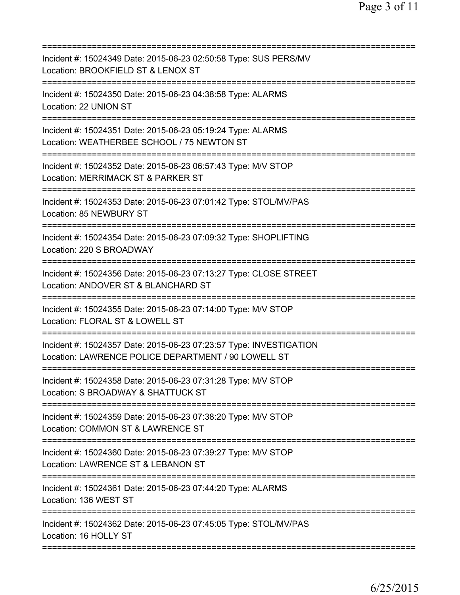| Incident #: 15024349 Date: 2015-06-23 02:50:58 Type: SUS PERS/MV<br>Location: BROOKFIELD ST & LENOX ST                             |
|------------------------------------------------------------------------------------------------------------------------------------|
| Incident #: 15024350 Date: 2015-06-23 04:38:58 Type: ALARMS<br>Location: 22 UNION ST                                               |
| Incident #: 15024351 Date: 2015-06-23 05:19:24 Type: ALARMS<br>Location: WEATHERBEE SCHOOL / 75 NEWTON ST                          |
| Incident #: 15024352 Date: 2015-06-23 06:57:43 Type: M/V STOP<br>Location: MERRIMACK ST & PARKER ST                                |
| Incident #: 15024353 Date: 2015-06-23 07:01:42 Type: STOL/MV/PAS<br>Location: 85 NEWBURY ST                                        |
| Incident #: 15024354 Date: 2015-06-23 07:09:32 Type: SHOPLIFTING<br>Location: 220 S BROADWAY<br>-------------                      |
| Incident #: 15024356 Date: 2015-06-23 07:13:27 Type: CLOSE STREET<br>Location: ANDOVER ST & BLANCHARD ST<br>====================== |
| Incident #: 15024355 Date: 2015-06-23 07:14:00 Type: M/V STOP<br>Location: FLORAL ST & LOWELL ST                                   |
| Incident #: 15024357 Date: 2015-06-23 07:23:57 Type: INVESTIGATION<br>Location: LAWRENCE POLICE DEPARTMENT / 90 LOWELL ST          |
| Incident #: 15024358 Date: 2015-06-23 07:31:28 Type: M/V STOP<br>Location: S BROADWAY & SHATTUCK ST                                |
| Incident #: 15024359 Date: 2015-06-23 07:38:20 Type: M/V STOP<br>Location: COMMON ST & LAWRENCE ST                                 |
| Incident #: 15024360 Date: 2015-06-23 07:39:27 Type: M/V STOP<br>Location: LAWRENCE ST & LEBANON ST                                |
| Incident #: 15024361 Date: 2015-06-23 07:44:20 Type: ALARMS<br>Location: 136 WEST ST                                               |
| Incident #: 15024362 Date: 2015-06-23 07:45:05 Type: STOL/MV/PAS<br>Location: 16 HOLLY ST                                          |
|                                                                                                                                    |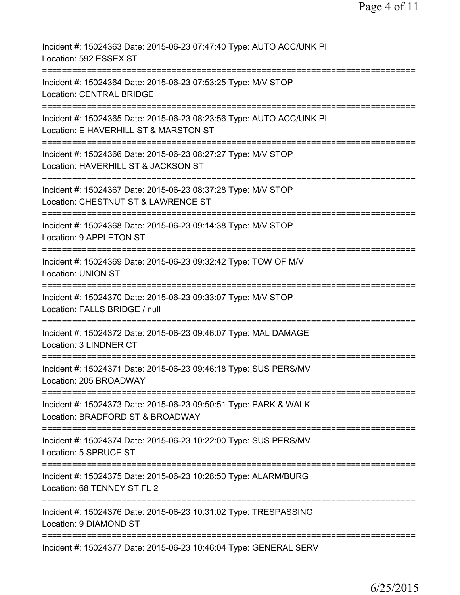| Incident #: 15024363 Date: 2015-06-23 07:47:40 Type: AUTO ACC/UNK PI<br>Location: 592 ESSEX ST                                  |
|---------------------------------------------------------------------------------------------------------------------------------|
| Incident #: 15024364 Date: 2015-06-23 07:53:25 Type: M/V STOP<br><b>Location: CENTRAL BRIDGE</b>                                |
| Incident #: 15024365 Date: 2015-06-23 08:23:56 Type: AUTO ACC/UNK PI<br>Location: E HAVERHILL ST & MARSTON ST                   |
| Incident #: 15024366 Date: 2015-06-23 08:27:27 Type: M/V STOP<br>Location: HAVERHILL ST & JACKSON ST                            |
| Incident #: 15024367 Date: 2015-06-23 08:37:28 Type: M/V STOP<br>Location: CHESTNUT ST & LAWRENCE ST                            |
| Incident #: 15024368 Date: 2015-06-23 09:14:38 Type: M/V STOP<br>Location: 9 APPLETON ST                                        |
| Incident #: 15024369 Date: 2015-06-23 09:32:42 Type: TOW OF M/V<br><b>Location: UNION ST</b><br>;============================== |
| Incident #: 15024370 Date: 2015-06-23 09:33:07 Type: M/V STOP<br>Location: FALLS BRIDGE / null                                  |
| Incident #: 15024372 Date: 2015-06-23 09:46:07 Type: MAL DAMAGE<br><b>Location: 3 LINDNER CT</b>                                |
| Incident #: 15024371 Date: 2015-06-23 09:46:18 Type: SUS PERS/MV<br>Location: 205 BROADWAY                                      |
| Incident #: 15024373 Date: 2015-06-23 09:50:51 Type: PARK & WALK<br>Location: BRADFORD ST & BROADWAY                            |
| Incident #: 15024374 Date: 2015-06-23 10:22:00 Type: SUS PERS/MV<br>Location: 5 SPRUCE ST                                       |
| Incident #: 15024375 Date: 2015-06-23 10:28:50 Type: ALARM/BURG<br>Location: 68 TENNEY ST FL 2                                  |
| Incident #: 15024376 Date: 2015-06-23 10:31:02 Type: TRESPASSING<br>Location: 9 DIAMOND ST                                      |
| Incident #: 15024377 Date: 2015-06-23 10:46:04 Type: GENERAL SERV                                                               |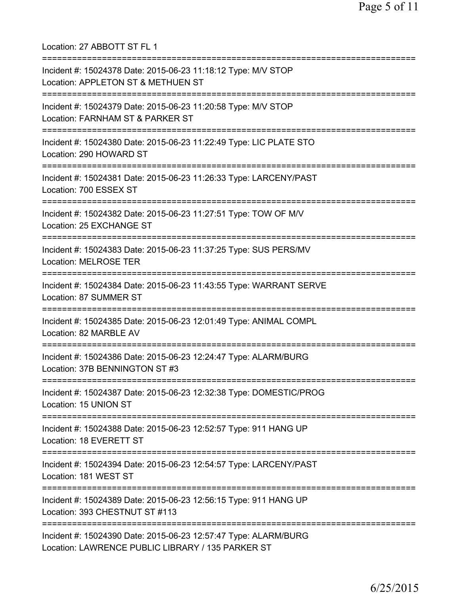Location: 27 ABBOTT ST FL 1 =========================================================================== Incident #: 15024378 Date: 2015-06-23 11:18:12 Type: M/V STOP Location: APPLETON ST & METHUEN ST =========================================================================== Incident #: 15024379 Date: 2015-06-23 11:20:58 Type: M/V STOP Location: FARNHAM ST & PARKER ST =========================================================================== Incident #: 15024380 Date: 2015-06-23 11:22:49 Type: LIC PLATE STO Location: 290 HOWARD ST =========================================================================== Incident #: 15024381 Date: 2015-06-23 11:26:33 Type: LARCENY/PAST Location: 700 ESSEX ST =========================================================================== Incident #: 15024382 Date: 2015-06-23 11:27:51 Type: TOW OF M/V Location: 25 EXCHANGE ST =========================================================================== Incident #: 15024383 Date: 2015-06-23 11:37:25 Type: SUS PERS/MV Location: MELROSE TER =========================================================================== Incident #: 15024384 Date: 2015-06-23 11:43:55 Type: WARRANT SERVE Location: 87 SUMMER ST =========================================================================== Incident #: 15024385 Date: 2015-06-23 12:01:49 Type: ANIMAL COMPL Location: 82 MARBLE AV =========================================================================== Incident #: 15024386 Date: 2015-06-23 12:24:47 Type: ALARM/BURG Location: 37B BENNINGTON ST #3 =========================================================================== Incident #: 15024387 Date: 2015-06-23 12:32:38 Type: DOMESTIC/PROG Location: 15 UNION ST =========================================================================== Incident #: 15024388 Date: 2015-06-23 12:52:57 Type: 911 HANG UP Location: 18 EVERETT ST =========================================================================== Incident #: 15024394 Date: 2015-06-23 12:54:57 Type: LARCENY/PAST Location: 181 WEST ST =========================================================================== Incident #: 15024389 Date: 2015-06-23 12:56:15 Type: 911 HANG UP Location: 393 CHESTNUT ST #113 =========================================================================== Incident #: 15024390 Date: 2015-06-23 12:57:47 Type: ALARM/BURG Location: LAWRENCE PUBLIC LIBRARY / 135 PARKER ST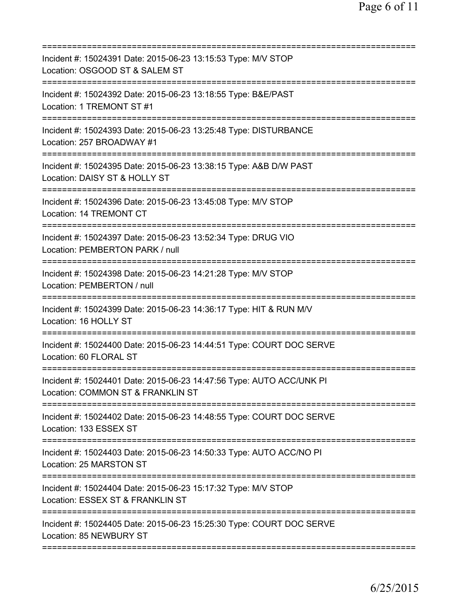| Incident #: 15024391 Date: 2015-06-23 13:15:53 Type: M/V STOP<br>Location: OSGOOD ST & SALEM ST                                           |
|-------------------------------------------------------------------------------------------------------------------------------------------|
| Incident #: 15024392 Date: 2015-06-23 13:18:55 Type: B&E/PAST<br>Location: 1 TREMONT ST #1                                                |
| Incident #: 15024393 Date: 2015-06-23 13:25:48 Type: DISTURBANCE<br>Location: 257 BROADWAY #1                                             |
| Incident #: 15024395 Date: 2015-06-23 13:38:15 Type: A&B D/W PAST<br>Location: DAISY ST & HOLLY ST<br>=====================               |
| Incident #: 15024396 Date: 2015-06-23 13:45:08 Type: M/V STOP<br>Location: 14 TREMONT CT                                                  |
| Incident #: 15024397 Date: 2015-06-23 13:52:34 Type: DRUG VIO<br>Location: PEMBERTON PARK / null                                          |
| ==========================<br>============<br>Incident #: 15024398 Date: 2015-06-23 14:21:28 Type: M/V STOP<br>Location: PEMBERTON / null |
| Incident #: 15024399 Date: 2015-06-23 14:36:17 Type: HIT & RUN M/V<br>Location: 16 HOLLY ST                                               |
| Incident #: 15024400 Date: 2015-06-23 14:44:51 Type: COURT DOC SERVE<br>Location: 60 FLORAL ST                                            |
| Incident #: 15024401 Date: 2015-06-23 14:47:56 Type: AUTO ACC/UNK PI<br>Location: COMMON ST & FRANKLIN ST                                 |
| Incident #: 15024402 Date: 2015-06-23 14:48:55 Type: COURT DOC SERVE<br>Location: 133 ESSEX ST                                            |
| Incident #: 15024403 Date: 2015-06-23 14:50:33 Type: AUTO ACC/NO PI<br>Location: 25 MARSTON ST                                            |
| Incident #: 15024404 Date: 2015-06-23 15:17:32 Type: M/V STOP<br>Location: ESSEX ST & FRANKLIN ST                                         |
| Incident #: 15024405 Date: 2015-06-23 15:25:30 Type: COURT DOC SERVE<br>Location: 85 NEWBURY ST                                           |
|                                                                                                                                           |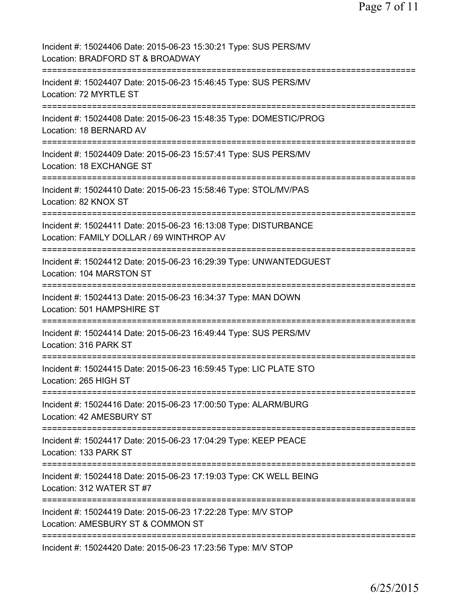| Incident #: 15024406 Date: 2015-06-23 15:30:21 Type: SUS PERS/MV<br>Location: BRADFORD ST & BROADWAY         |
|--------------------------------------------------------------------------------------------------------------|
| Incident #: 15024407 Date: 2015-06-23 15:46:45 Type: SUS PERS/MV<br>Location: 72 MYRTLE ST                   |
| Incident #: 15024408 Date: 2015-06-23 15:48:35 Type: DOMESTIC/PROG<br>Location: 18 BERNARD AV                |
| Incident #: 15024409 Date: 2015-06-23 15:57:41 Type: SUS PERS/MV<br>Location: 18 EXCHANGE ST                 |
| Incident #: 15024410 Date: 2015-06-23 15:58:46 Type: STOL/MV/PAS<br>Location: 82 KNOX ST                     |
| Incident #: 15024411 Date: 2015-06-23 16:13:08 Type: DISTURBANCE<br>Location: FAMILY DOLLAR / 69 WINTHROP AV |
| Incident #: 15024412 Date: 2015-06-23 16:29:39 Type: UNWANTEDGUEST<br>Location: 104 MARSTON ST               |
| ---------<br>Incident #: 15024413 Date: 2015-06-23 16:34:37 Type: MAN DOWN<br>Location: 501 HAMPSHIRE ST     |
| ============<br>Incident #: 15024414 Date: 2015-06-23 16:49:44 Type: SUS PERS/MV<br>Location: 316 PARK ST    |
| Incident #: 15024415 Date: 2015-06-23 16:59:45 Type: LIC PLATE STO<br>Location: 265 HIGH ST                  |
| Incident #: 15024416 Date: 2015-06-23 17:00:50 Type: ALARM/BURG<br>Location: 42 AMESBURY ST                  |
| Incident #: 15024417 Date: 2015-06-23 17:04:29 Type: KEEP PEACE<br>Location: 133 PARK ST                     |
| Incident #: 15024418 Date: 2015-06-23 17:19:03 Type: CK WELL BEING<br>Location: 312 WATER ST #7              |
| Incident #: 15024419 Date: 2015-06-23 17:22:28 Type: M/V STOP<br>Location: AMESBURY ST & COMMON ST           |
| Incident #: 15024420 Date: 2015-06-23 17:23:56 Type: M/V STOP                                                |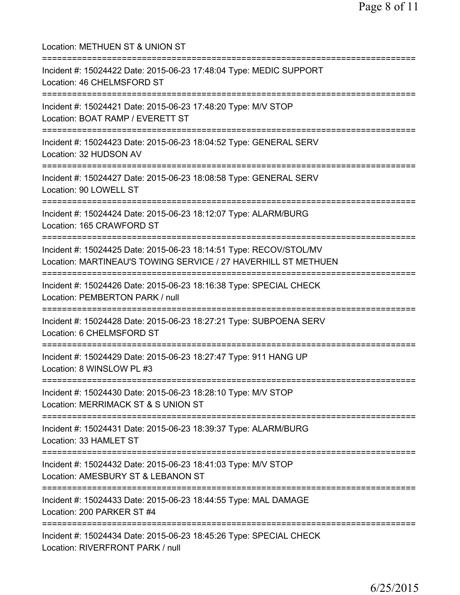| Location: METHUEN ST & UNION ST                                                                                                          |
|------------------------------------------------------------------------------------------------------------------------------------------|
| Incident #: 15024422 Date: 2015-06-23 17:48:04 Type: MEDIC SUPPORT<br>Location: 46 CHELMSFORD ST<br>========================             |
| Incident #: 15024421 Date: 2015-06-23 17:48:20 Type: M/V STOP<br>Location: BOAT RAMP / EVERETT ST<br>============================        |
| Incident #: 15024423 Date: 2015-06-23 18:04:52 Type: GENERAL SERV<br>Location: 32 HUDSON AV                                              |
| Incident #: 15024427 Date: 2015-06-23 18:08:58 Type: GENERAL SERV<br>Location: 90 LOWELL ST                                              |
| Incident #: 15024424 Date: 2015-06-23 18:12:07 Type: ALARM/BURG<br>Location: 165 CRAWFORD ST                                             |
| Incident #: 15024425 Date: 2015-06-23 18:14:51 Type: RECOV/STOL/MV<br>Location: MARTINEAU'S TOWING SERVICE / 27 HAVERHILL ST METHUEN     |
| Incident #: 15024426 Date: 2015-06-23 18:16:38 Type: SPECIAL CHECK<br>Location: PEMBERTON PARK / null                                    |
| Incident #: 15024428 Date: 2015-06-23 18:27:21 Type: SUBPOENA SERV<br>Location: 6 CHELMSFORD ST                                          |
| Incident #: 15024429 Date: 2015-06-23 18:27:47 Type: 911 HANG UP<br>Location: 8 WINSLOW PL #3                                            |
| Incident #: 15024430 Date: 2015-06-23 18:28:10 Type: M/V STOP<br>Location: MERRIMACK ST & S UNION ST                                     |
| Incident #: 15024431 Date: 2015-06-23 18:39:37 Type: ALARM/BURG<br>Location: 33 HAMLET ST                                                |
| =================================<br>Incident #: 15024432 Date: 2015-06-23 18:41:03 Type: M/V STOP<br>Location: AMESBURY ST & LEBANON ST |
| Incident #: 15024433 Date: 2015-06-23 18:44:55 Type: MAL DAMAGE<br>Location: 200 PARKER ST #4                                            |
| Incident #: 15024434 Date: 2015-06-23 18:45:26 Type: SPECIAL CHECK<br>Location: RIVERFRONT PARK / null                                   |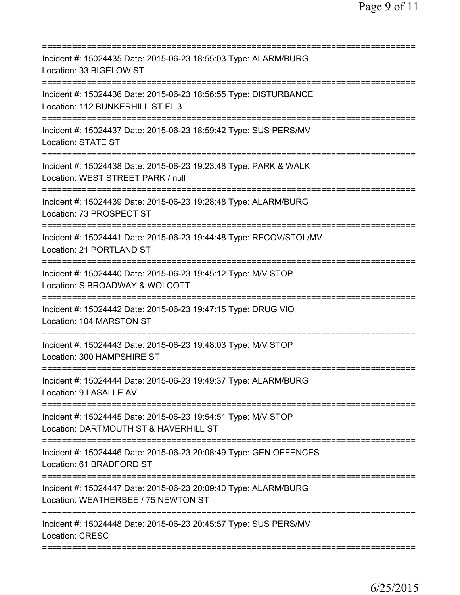| Incident #: 15024435 Date: 2015-06-23 18:55:03 Type: ALARM/BURG<br>Location: 33 BIGELOW ST                                           |
|--------------------------------------------------------------------------------------------------------------------------------------|
| Incident #: 15024436 Date: 2015-06-23 18:56:55 Type: DISTURBANCE<br>Location: 112 BUNKERHILL ST FL 3                                 |
| Incident #: 15024437 Date: 2015-06-23 18:59:42 Type: SUS PERS/MV<br>Location: STATE ST                                               |
| Incident #: 15024438 Date: 2015-06-23 19:23:48 Type: PARK & WALK<br>Location: WEST STREET PARK / null                                |
| Incident #: 15024439 Date: 2015-06-23 19:28:48 Type: ALARM/BURG<br>Location: 73 PROSPECT ST                                          |
| Incident #: 15024441 Date: 2015-06-23 19:44:48 Type: RECOV/STOL/MV<br>Location: 21 PORTLAND ST                                       |
| Incident #: 15024440 Date: 2015-06-23 19:45:12 Type: M/V STOP<br>Location: S BROADWAY & WOLCOTT                                      |
| Incident #: 15024442 Date: 2015-06-23 19:47:15 Type: DRUG VIO<br>Location: 104 MARSTON ST<br>===================                     |
| Incident #: 15024443 Date: 2015-06-23 19:48:03 Type: M/V STOP<br>Location: 300 HAMPSHIRE ST                                          |
| Incident #: 15024444 Date: 2015-06-23 19:49:37 Type: ALARM/BURG<br>Location: 9 LASALLE AV                                            |
| Incident #: 15024445 Date: 2015-06-23 19:54:51 Type: M/V STOP<br>Location: DARTMOUTH ST & HAVERHILL ST                               |
| ===================================<br>Incident #: 15024446 Date: 2015-06-23 20:08:49 Type: GEN OFFENCES<br>Location: 61 BRADFORD ST |
| Incident #: 15024447 Date: 2015-06-23 20:09:40 Type: ALARM/BURG<br>Location: WEATHERBEE / 75 NEWTON ST                               |
| Incident #: 15024448 Date: 2015-06-23 20:45:57 Type: SUS PERS/MV<br>Location: CRESC                                                  |
|                                                                                                                                      |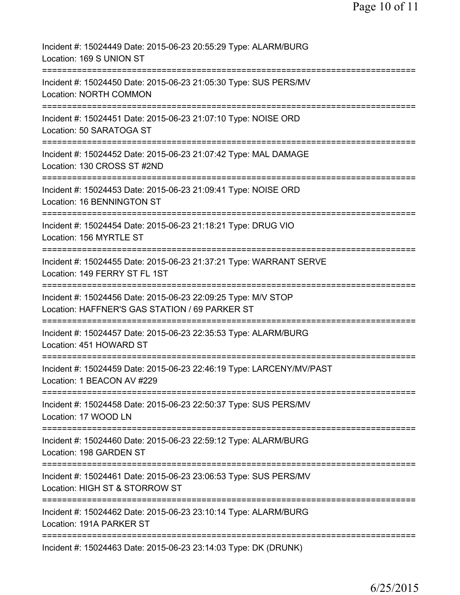| Incident #: 15024449 Date: 2015-06-23 20:55:29 Type: ALARM/BURG<br>Location: 169 S UNION ST                                          |
|--------------------------------------------------------------------------------------------------------------------------------------|
| Incident #: 15024450 Date: 2015-06-23 21:05:30 Type: SUS PERS/MV<br><b>Location: NORTH COMMON</b>                                    |
| Incident #: 15024451 Date: 2015-06-23 21:07:10 Type: NOISE ORD<br>Location: 50 SARATOGA ST                                           |
| Incident #: 15024452 Date: 2015-06-23 21:07:42 Type: MAL DAMAGE<br>Location: 130 CROSS ST #2ND                                       |
| Incident #: 15024453 Date: 2015-06-23 21:09:41 Type: NOISE ORD<br>Location: 16 BENNINGTON ST                                         |
| Incident #: 15024454 Date: 2015-06-23 21:18:21 Type: DRUG VIO<br>Location: 156 MYRTLE ST                                             |
| Incident #: 15024455 Date: 2015-06-23 21:37:21 Type: WARRANT SERVE<br>Location: 149 FERRY ST FL 1ST                                  |
| Incident #: 15024456 Date: 2015-06-23 22:09:25 Type: M/V STOP<br>Location: HAFFNER'S GAS STATION / 69 PARKER ST                      |
| Incident #: 15024457 Date: 2015-06-23 22:35:53 Type: ALARM/BURG<br>Location: 451 HOWARD ST                                           |
| Incident #: 15024459 Date: 2015-06-23 22:46:19 Type: LARCENY/MV/PAST<br>Location: 1 BEACON AV #229                                   |
| Incident #: 15024458 Date: 2015-06-23 22:50:37 Type: SUS PERS/MV<br>Location: 17 WOOD LN                                             |
| ======================================<br>Incident #: 15024460 Date: 2015-06-23 22:59:12 Type: ALARM/BURG<br>Location: 198 GARDEN ST |
| Incident #: 15024461 Date: 2015-06-23 23:06:53 Type: SUS PERS/MV<br>Location: HIGH ST & STORROW ST                                   |
| ==========================<br>Incident #: 15024462 Date: 2015-06-23 23:10:14 Type: ALARM/BURG<br>Location: 191A PARKER ST            |
| Incident #: 15024463 Date: 2015-06-23 23:14:03 Type: DK (DRUNK)                                                                      |